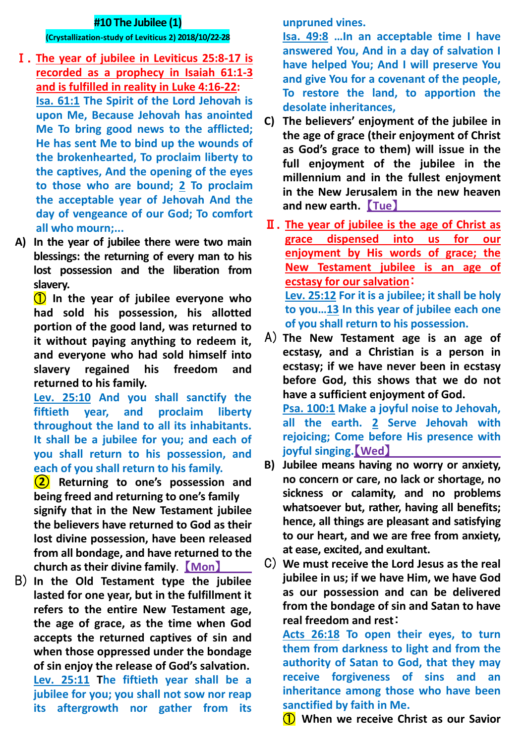## **#10 The Jubilee (1)**

### **(Crystallization-study of Leviticus 2) 2018/10/22-28**

- Ⅰ.**The year of jubilee in Leviticus 25:8-17 is recorded as a prophecy in Isaiah 61:1-3 and is fulfilled in reality in Luke 4:16-22: Isa. 61:1 The Spirit of the Lord Jehovah is upon Me, Because Jehovah has anointed Me To bring good news to the afflicted; He has sent Me to bind up the wounds of the brokenhearted, To proclaim liberty to the captives, And the opening of the eyes to those who are bound; 2 To proclaim the acceptable year of Jehovah And the day of vengeance of our God; To comfort all who mourn;...**
- **A) In the year of jubilee there were two main blessings: the returning of every man to his lost possession and the liberation from slavery.**

① **In the year of jubilee everyone who had sold his possession, his allotted portion of the good land, was returned to it without paying anything to redeem it, and everyone who had sold himself into slavery regained his freedom and returned to his family.**

**Lev. 25:10 And you shall sanctify the fiftieth year, and proclaim liberty throughout the land to all its inhabitants. It shall be a jubilee for you; and each of you shall return to his possession, and each of you shall return to his family.**

**② Returning to one's possession and being freed and returning to one's family signify that in the New Testament jubilee the believers have returned to God as their lost divine possession, have been released from all bondage, and have returned to the church as their divine family**. 【**Mon**】

B) **In the Old Testament type the jubilee lasted for one year, but in the fulfillment it refers to the entire New Testament age, the age of grace, as the time when God accepts the returned captives of sin and when those oppressed under the bondage of sin enjoy the release of God's salvation. Lev. 25:11 The fiftieth year shall be a jubilee for you; you shall not sow nor reap its aftergrowth nor gather from its**  **unpruned vines.**

**Isa. 49:8 …In an acceptable time I have answered You, And in a day of salvation I have helped You; And I will preserve You and give You for a covenant of the people, To restore the land, to apportion the desolate inheritances,**

- **C) The believers' enjoyment of the jubilee in the age of grace (their enjoyment of Christ as God's grace to them) will issue in the full enjoyment of the jubilee in the millennium and in the fullest enjoyment in the New Jerusalem in the new heaven and new earth.** 【**Tue**】
- Ⅱ.**The year of jubilee is the age of Christ as grace dispensed into us for our enjoyment by His words of grace; the New Testament jubilee is an age of ecstasy for our salvation**: **Lev. 25:12 For it is a jubilee; it shall be holy to you…13 In this year of jubilee each one of you shall return to his possession.**
- A) **The New Testament age is an age of ecstasy, and a Christian is a person in ecstasy; if we have never been in ecstasy before God, this shows that we do not have a sufficient enjoyment of God. Psa. 100:1 Make a joyful noise to Jehovah,**

**all the earth. 2 Serve Jehovah with rejoicing; Come before His presence with joyful singing.**【**Wed**】

- **B) Jubilee means having no worry or anxiety, no concern or care, no lack or shortage, no sickness or calamity, and no problems whatsoever but, rather, having all benefits; hence, all things are pleasant and satisfying to our heart, and we are free from anxiety, at ease, excited, and exultant.**
- C) **We must receive the Lord Jesus as the real jubilee in us; if we have Him, we have God as our possession and can be delivered from the bondage of sin and Satan to have real freedom and rest**:

**Acts 26:18 To open their eyes, to turn them from darkness to light and from the authority of Satan to God, that they may receive forgiveness of sins and an inheritance among those who have been sanctified by faith in Me.**

① **When we receive Christ as our Savior**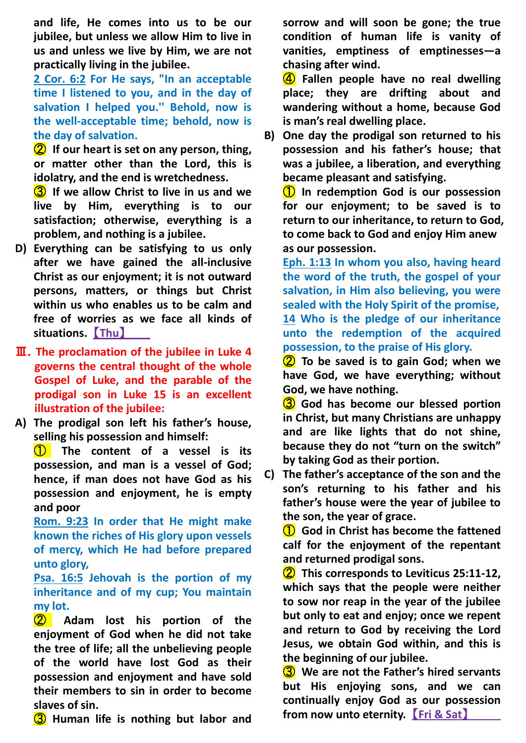**and life, He comes into us to be our jubilee, but unless we allow Him to live in us and unless we live by Him, we are not practically living in the jubilee.**

**2 Cor. 6:2 For He says, "In an acceptable time I listened to you, and in the day of salvation I helped you.'' Behold, now is the well-acceptable time; behold, now is the day of salvation.**

② **If our heart is set on any person, thing, or matter other than the Lord, this is idolatry, and the end is wretchedness.**

③ **If we allow Christ to live in us and we live by Him, everything is to our satisfaction; otherwise, everything is a problem, and nothing is a jubilee.**

- **D) Everything can be satisfying to us only after we have gained the all-inclusive Christ as our enjoyment; it is not outward persons, matters, or things but Christ within us who enables us to be calm and free of worries as we face all kinds of situations.** 【**Thu**】
- Ⅲ.**The proclamation of the jubilee in Luke 4 governs the central thought of the whole Gospel of Luke, and the parable of the prodigal son in Luke 15 is an excellent illustration of the jubilee:**
- **A) The prodigal son left his father's house, selling his possession and himself:**

① **The content of a vessel is its possession, and man is a vessel of God; hence, if man does not have God as his possession and enjoyment, he is empty and poor**

**Rom. 9:23 In order that He might make known the riches of His glory upon vessels of mercy, which He had before prepared unto glory,**

**Psa. 16:5 Jehovah is the portion of my inheritance and of my cup; You maintain my lot.**

② **Adam lost his portion of the enjoyment of God when he did not take the tree of life; all the unbelieving people of the world have lost God as their possession and enjoyment and have sold their members to sin in order to become slaves of sin.**

③ **Human life is nothing but labor and** 

**sorrow and will soon be gone; the true condition of human life is vanity of vanities, emptiness of emptinesses—a chasing after wind.**

④ **Fallen people have no real dwelling place; they are drifting about and wandering without a home, because God is man's real dwelling place.**

**B) One day the prodigal son returned to his possession and his father's house; that was a jubilee, a liberation, and everything became pleasant and satisfying.**

① **In redemption God is our possession for our enjoyment; to be saved is to return to our inheritance, to return to God, to come back to God and enjoy Him anew as our possession.**

**Eph. 1:13 In whom you also, having heard the word of the truth, the gospel of your salvation, in Him also believing, you were sealed with the Holy Spirit of the promise, 14 Who is the pledge of our inheritance unto the redemption of the acquired possession, to the praise of His glory.**

② **To be saved is to gain God; when we have God, we have everything; without God, we have nothing.**

③ **God has become our blessed portion in Christ, but many Christians are unhappy and are like lights that do not shine, because they do not "turn on the switch" by taking God as their portion.**

**C) The father's acceptance of the son and the son's returning to his father and his father's house were the year of jubilee to the son, the year of grace.**

① **God in Christ has become the fattened calf for the enjoyment of the repentant and returned prodigal sons.**

② **This corresponds to Leviticus 25:11-12, which says that the people were neither to sow nor reap in the year of the jubilee but only to eat and enjoy; once we repent and return to God by receiving the Lord Jesus, we obtain God within, and this is the beginning of our jubilee.**

③ **We are not the Father's hired servants but His enjoying sons, and we can continually enjoy God as our possession from now unto eternity.** 【**Fri & Sat**】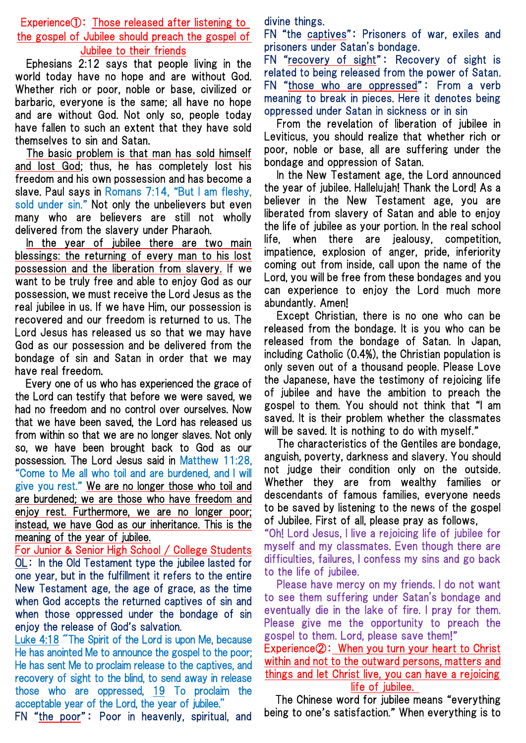# Experience①: Those released after listening to the gospel of Jubilee should preach the gospel of Jubilee to their friends

Ephesians 2:12 says that people living in the world today have no hope and are without God. Whether rich or poor, noble or base, civilized or barbaric, everyone is the same; all have no hope and are without God. Not only so, people today have fallen to such an extent that they have sold themselves to sin and Satan.

The basic problem is that man has sold himself and lost God; thus, he has completely lost his freedom and his own possession and has become a slave. Paul says in Romans 7:14, "But I am fleshy, sold under sin." Not only the unbelievers but even many who are believers are still not wholly delivered from the slavery under Pharaoh.

In the year of jubilee there are two main blessings: the returning of every man to his lost possession and the liberation from slavery. If we want to be truly free and able to enjoy God as our possession, we must receive the Lord Jesus as the real jubilee in us. If we have Him, our possession is recovered and our freedom is returned to us. The Lord Jesus has released us so that we may have God as our possession and be delivered from the bondage of sin and Satan in order that we may have real freedom.

Every one of us who has experienced the grace of the Lord can testify that before we were saved, we had no freedom and no control over ourselves. Now that we have been saved, the Lord has released us from within so that we are no longer slaves. Not only so, we have been brought back to God as our possession. The Lord Jesus said in Matthew 11:28, "Come to Me all who toil and are burdened, and I will give you rest." We are no longer those who toil and are burdened; we are those who have freedom and enjoy rest. Furthermore, we are no longer poor; instead, we have God as our inheritance. This is the meaning of the year of jubilee.

For Junior & Senior High School / College Students OL: In the Old Testament type the jubilee lasted for one year, but in the fulfillment it refers to the entire New Testament age, the age of grace, as the time when God accepts the returned captives of sin and when those oppressed under the bondage of sin enjoy the release of God's salvation.

Luke 4:18 "The Spirit of the Lord is upon Me, because He has anointed Me to announce the gospel to the poor; He has sent Me to proclaim release to the captives, and recovery of sight to the blind, to send away in release those who are oppressed, 19 To proclaim the acceptable year of the Lord, the year of jubilee.''

FN "the poor": Poor in heavenly, spiritual, and

divine things.

FN "the captives": Prisoners of war, exiles and prisoners under Satan's bondage.

FN "recovery of sight": Recovery of sight is related to being released from the power of Satan. FN "those who are oppressed": From a verb meaning to break in pieces. Here it denotes being oppressed under Satan in sickness or in sin

From the revelation of liberation of jubilee in Leviticus, you should realize that whether rich or poor, noble or base, all are suffering under the bondage and oppression of Satan.

In the New Testament age, the Lord announced the year of jubilee. Hallelujah! Thank the Lord! As a believer in the New Testament age, you are liberated from slavery of Satan and able to enjoy the life of jubilee as your portion. In the real school life, when there are jealousy, competition, impatience, explosion of anger, pride, inferiority coming out from inside, call upon the name of the Lord, you will be free from these bondages and you can experience to enjoy the Lord much more abundantly. Amen!

Except Christian, there is no one who can be released from the bondage. It is you who can be released from the bondage of Satan. In Japan, including Catholic (0.4%), the Christian population is only seven out of a thousand people. Please Love the Japanese, have the testimony of rejoicing life of jubilee and have the ambition to preach the gospel to them. You should not think that "I am saved. It is their problem whether the classmates will be saved. It is nothing to do with myself."

The characteristics of the Gentiles are bondage, anguish, poverty, darkness and slavery. You should not judge their condition only on the outside. Whether they are from wealthy families or descendants of famous families, everyone needs to be saved by listening to the news of the gospel of Jubilee. First of all, please pray as follows,

"Oh! Lord Jesus, I live a rejoicing life of jubilee for myself and my classmates. Even though there are difficulties, failures, I confess my sins and go back to the life of jubilee.

Please have mercy on my friends. I do not want to see them suffering under Satan's bondage and eventually die in the lake of fire. I pray for them. Please give me the opportunity to preach the gospel to them. Lord, please save them!" Experience②: When you turn your heart to Christ

within and not to the outward persons, matters and things and let Christ live, you can have a rejoicing life of jubilee.

The Chinese word for jubilee means "everything being to one's satisfaction." When everything is to